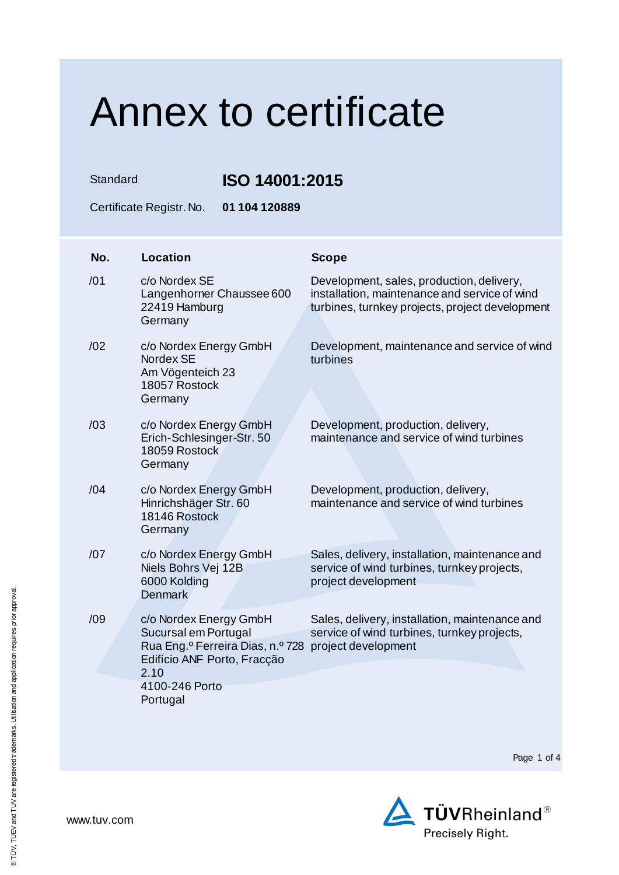Standard **ISO 14001:2015**

Certificate Registr. No. **01 104 120889**

| No. | <b>Location</b>                                                                                                                                         | <b>Scope</b>                                                                                                                                  |
|-----|---------------------------------------------------------------------------------------------------------------------------------------------------------|-----------------------------------------------------------------------------------------------------------------------------------------------|
| /01 | c/o Nordex SE<br>Langenhorner Chaussee 600<br>22419 Hamburg<br>Germany                                                                                  | Development, sales, production, delivery,<br>installation, maintenance and service of wind<br>turbines, turnkey projects, project development |
| /02 | c/o Nordex Energy GmbH<br>Nordex SE<br>Am Vögenteich 23<br>18057 Rostock<br>Germany                                                                     | Development, maintenance and service of wind<br>turbines                                                                                      |
| /03 | c/o Nordex Energy GmbH<br>Erich-Schlesinger-Str. 50<br>18059 Rostock<br>Germany                                                                         | Development, production, delivery,<br>maintenance and service of wind turbines                                                                |
| /04 | c/o Nordex Energy GmbH<br>Hinrichshäger Str. 60<br>18146 Rostock<br>Germany                                                                             | Development, production, delivery,<br>maintenance and service of wind turbines                                                                |
| /07 | c/o Nordex Energy GmbH<br>Niels Bohrs Vej 12B<br>6000 Kolding<br><b>Denmark</b>                                                                         | Sales, delivery, installation, maintenance and<br>service of wind turbines, turnkey projects,<br>project development                          |
| /09 | c/o Nordex Energy GmbH<br>Sucursal em Portugal<br>Rua Eng. <sup>o</sup> Ferreira Dias, n.º 728<br>Edifício ANF Porto, Fracção<br>2.10<br>4100-246 Porto | Sales, delivery, installation, maintenance and<br>service of wind turbines, turnkey projects,<br>project development                          |
|     | Portugal                                                                                                                                                |                                                                                                                                               |

Page 1 of 4

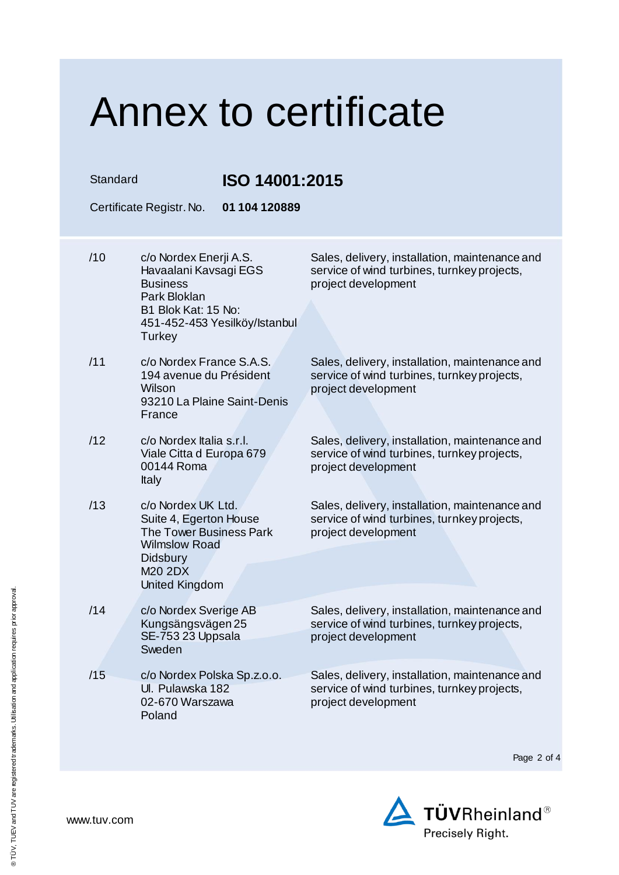Standard **ISO 14001:2015** 

| טו טבהו טטדו יטטו |                                                                                                                                                        |                                                                                                                      |  |  |  |
|-------------------|--------------------------------------------------------------------------------------------------------------------------------------------------------|----------------------------------------------------------------------------------------------------------------------|--|--|--|
|                   | Certificate Registr. No.<br>01 104 120889                                                                                                              |                                                                                                                      |  |  |  |
| /10               | c/o Nordex Enerji A.S.<br>Havaalani Kavsagi EGS<br><b>Business</b><br>Park Bloklan<br>B1 Blok Kat: 15 No:<br>451-452-453 Yesilköy/Istanbul<br>Turkey   | Sales, delivery, installation, maintenance and<br>service of wind turbines, turnkey projects,<br>project development |  |  |  |
| /11               | c/o Nordex France S.A.S.<br>194 avenue du Président<br>Wilson<br>93210 La Plaine Saint-Denis<br>France                                                 | Sales, delivery, installation, maintenance and<br>service of wind turbines, turnkey projects,<br>project development |  |  |  |
| /12               | c/o Nordex Italia s.r.l.<br>Viale Citta d Europa 679<br>00144 Roma<br>Italy                                                                            | Sales, delivery, installation, maintenance and<br>service of wind turbines, turnkey projects,<br>project development |  |  |  |
| /13               | c/o Nordex UK Ltd.<br>Suite 4, Egerton House<br><b>The Tower Business Park</b><br><b>Wilmslow Road</b><br><b>Didsbury</b><br>M20 2DX<br>United Kingdom | Sales, delivery, installation, maintenance and<br>service of wind turbines, turnkey projects,<br>project development |  |  |  |
| /14               | c/o Nordex Sverige AB<br>Kungsängsvägen 25<br>SE-753 23 Uppsala<br>Sweden                                                                              | Sales, delivery, installation, maintenance and<br>service of wind turbines, turnkey projects,<br>project development |  |  |  |
| /15               | c/o Nordex Polska Sp.z.o.o.<br>UI. Pulawska 182<br>02-670 Warszawa<br>Poland                                                                           | Sales, delivery, installation, maintenance and<br>service of wind turbines, turnkey projects,<br>project development |  |  |  |

Page 2 of 4

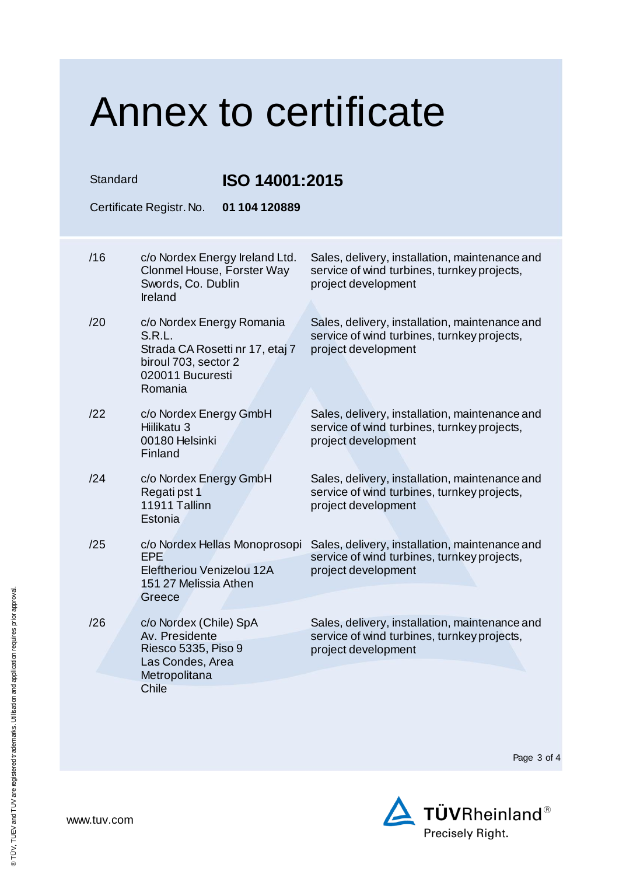| Standard                                  |                                                                                                                               | ISO 14001:2015                                                                                                       |  |  |  |  |
|-------------------------------------------|-------------------------------------------------------------------------------------------------------------------------------|----------------------------------------------------------------------------------------------------------------------|--|--|--|--|
| 01 104 120889<br>Certificate Registr. No. |                                                                                                                               |                                                                                                                      |  |  |  |  |
| /16                                       | c/o Nordex Energy Ireland Ltd.<br>Clonmel House, Forster Way<br>Swords, Co. Dublin<br>Ireland                                 | Sales, delivery, installation, maintenance and<br>service of wind turbines, turnkey projects,<br>project development |  |  |  |  |
| /20                                       | c/o Nordex Energy Romania<br>S.R.L.<br>Strada CA Rosetti nr 17, etaj 7<br>biroul 703, sector 2<br>020011 Bucuresti<br>Romania | Sales, delivery, installation, maintenance and<br>service of wind turbines, turnkey projects,<br>project development |  |  |  |  |
| /22                                       | c/o Nordex Energy GmbH<br>Hiilikatu 3<br>00180 Helsinki<br>Finland                                                            | Sales, delivery, installation, maintenance and<br>service of wind turbines, turnkey projects,<br>project development |  |  |  |  |
| /24                                       | c/o Nordex Energy GmbH<br>Regati pst 1<br>11911 Tallinn<br>Estonia                                                            | Sales, delivery, installation, maintenance and<br>service of wind turbines, turnkey projects,<br>project development |  |  |  |  |
| /25                                       | c/o Nordex Hellas Monoprosopi<br>EPE<br>Eleftheriou Venizelou 12A<br>151 27 Melissia Athen<br>Greece                          | Sales, delivery, installation, maintenance and<br>service of wind turbines, turnkey projects,<br>project development |  |  |  |  |
| /26                                       | c/o Nordex (Chile) SpA<br>Av. Presidente<br>Riesco 5335, Piso 9<br>Las Condes, Area<br>Metropolitana<br><b>Chile</b>          | Sales, delivery, installation, maintenance and<br>service of wind turbines, turnkey projects,<br>project development |  |  |  |  |

Page 3 of 4